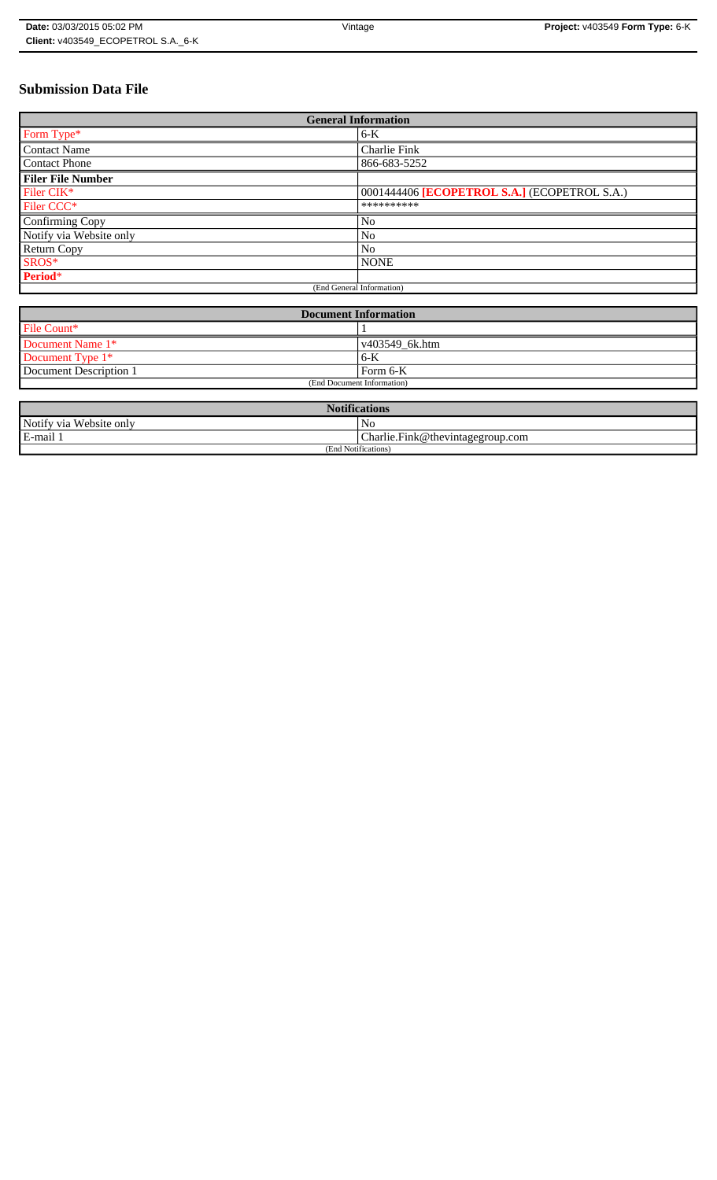# **Submission Data File**

| <b>General Information</b> |                                              |
|----------------------------|----------------------------------------------|
| Form Type*                 | $6-K$                                        |
| <b>Contact Name</b>        | Charlie Fink                                 |
| <b>Contact Phone</b>       | 866-683-5252                                 |
| <b>Filer File Number</b>   |                                              |
| Filer CIK*                 | 0001444406 [ECOPETROL S.A.] (ECOPETROL S.A.) |
| Filer CCC <sup>*</sup>     | **********                                   |
| Confirming Copy            | No                                           |
| Notify via Website only    | No                                           |
| Return Copy                | N <sub>o</sub>                               |
| SROS*                      | <b>NONE</b>                                  |
| Period*                    |                                              |
| (End General Information)  |                                              |

| <b>Document Information</b> |                |
|-----------------------------|----------------|
| File Count*                 |                |
| Document Name 1*            | v403549_6k.htm |
| Document Type 1*            | 6-K            |
| Document Description 1      | Form 6-K       |
| (End Document Information)  |                |

| <b>Notifications</b>    |                                  |  |
|-------------------------|----------------------------------|--|
| Notify via Website only | N <sub>0</sub>                   |  |
| E-mail 1                | Charlie.Fink@thevintagegroup.com |  |
| (End Notifications)     |                                  |  |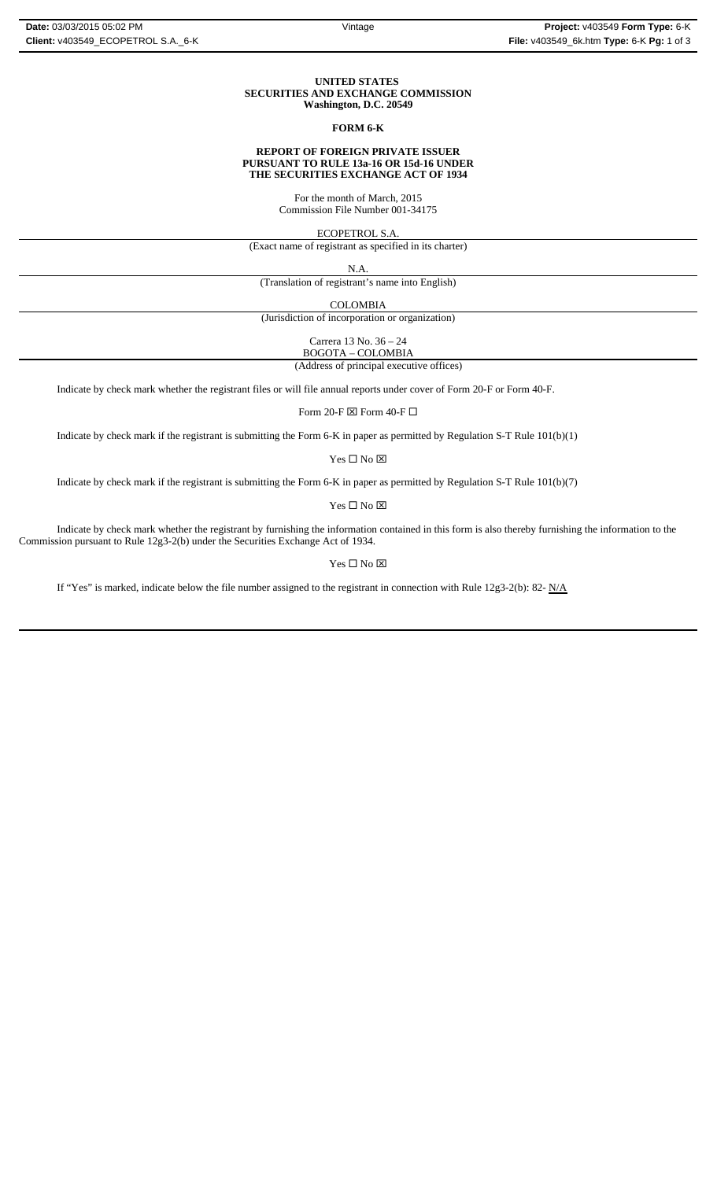#### **UNITED STATES SECURITIES AND EXCHANGE COMMISSION Washington, D.C. 20549**

## **FORM 6-K**

#### **REPORT OF FOREIGN PRIVATE ISSUER PURSUANT TO RULE 13a-16 OR 15d-16 UNDER THE SECURITIES EXCHANGE ACT OF 1934**

For the month of March, 2015 Commission File Number 001-34175

ECOPETROL S.A.

(Exact name of registrant as specified in its charter)

N.A.

(Translation of registrant's name into English)

COLOMBIA

(Jurisdiction of incorporation or organization)

Carrera 13 No. 36 – 24 BOGOTA – COLOMBIA

(Address of principal executive offices)

Indicate by check mark whether the registrant files or will file annual reports under cover of Form 20-F or Form 40-F.

Form 20-F  $\boxtimes$  Form 40-F  $\Box$ 

Indicate by check mark if the registrant is submitting the Form 6-K in paper as permitted by Regulation S-T Rule 101(b)(1)

Yes $\square$  No  $\square$ 

Indicate by check mark if the registrant is submitting the Form 6-K in paper as permitted by Regulation S-T Rule 101(b)(7)

Yes □ No ⊠

Indicate by check mark whether the registrant by furnishing the information contained in this form is also thereby furnishing the information to the Commission pursuant to Rule 12g3-2(b) under the Securities Exchange Act of 1934.

 $\mathbf{Yes} \ \square \ \mathbf{No} \ \boxtimes$ 

If "Yes" is marked, indicate below the file number assigned to the registrant in connection with Rule 12g3-2(b): 82-  $N/A$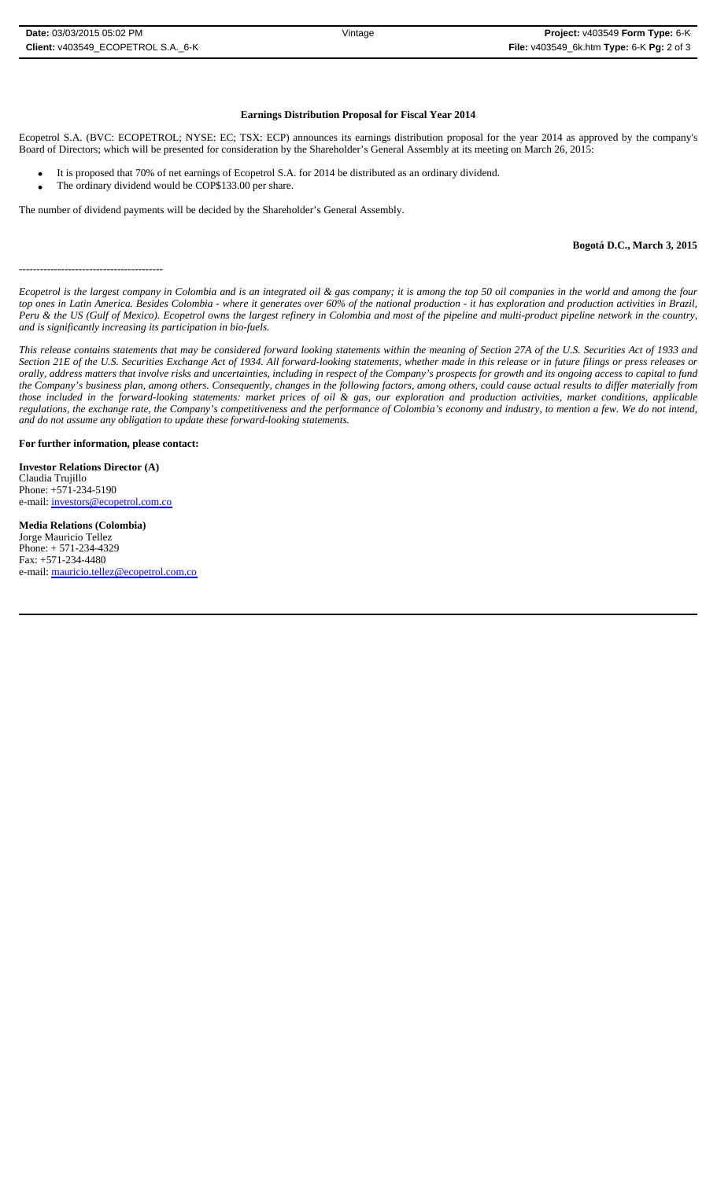### **Earnings Distribution Proposal for Fiscal Year 2014**

Ecopetrol S.A. (BVC: ECOPETROL; NYSE: EC; TSX: ECP) announces its earnings distribution proposal for the year 2014 as approved by the company's Board of Directors; which will be presented for consideration by the Shareholder's General Assembly at its meeting on March 26, 2015:

- It is proposed that 70% of net earnings of Ecopetrol S.A. for 2014 be distributed as an ordinary dividend.
- The ordinary dividend would be COP\$133.00 per share.

The number of dividend payments will be decided by the Shareholder's General Assembly.

#### **Bogotá D.C., March 3, 2015**

*Ecopetrol is the largest company in Colombia and is an integrated oil & gas company; it is among the top 50 oil companies in the world and among the four top ones in Latin America. Besides Colombia - where it generates over 60% of the national production - it has exploration and production activities in Brazil, Peru & the US (Gulf of Mexico). Ecopetrol owns the largest refinery in Colombia and most of the pipeline and multi-product pipeline network in the country, and is significantly increasing its participation in bio-fuels.*

*This release contains statements that may be considered forward looking statements within the meaning of Section 27A of the U.S. Securities Act of 1933 and Section 21E of the U.S. Securities Exchange Act of 1934. All forward-looking statements, whether made in this release or in future filings or press releases or orally, address matters that involve risks and uncertainties, including in respect of the Company's prospects for growth and its ongoing access to capital to fund the Company's business plan, among others. Consequently, changes in the following factors, among others, could cause actual results to differ materially from those included in the forward-looking statements: market prices of oil & gas, our exploration and production activities, market conditions, applicable regulations, the exchange rate, the Company's competitiveness and the performance of Colombia's economy and industry, to mention a few. We do not intend, and do not assume any obligation to update these forward-looking statements.*

**For further information, please contact:** 

**Investor Relations Director (A)** Claudia Trujillo Phone: +571-234-5190 e-mail: investors@ecopetrol.com.co

-----------------------------------------

**Media Relations (Colombia)**  Jorge Mauricio Tellez Phone: + 571-234-4329 Fax: +571-234-4480 e-mail: mauricio.tellez@ecopetrol.com.co